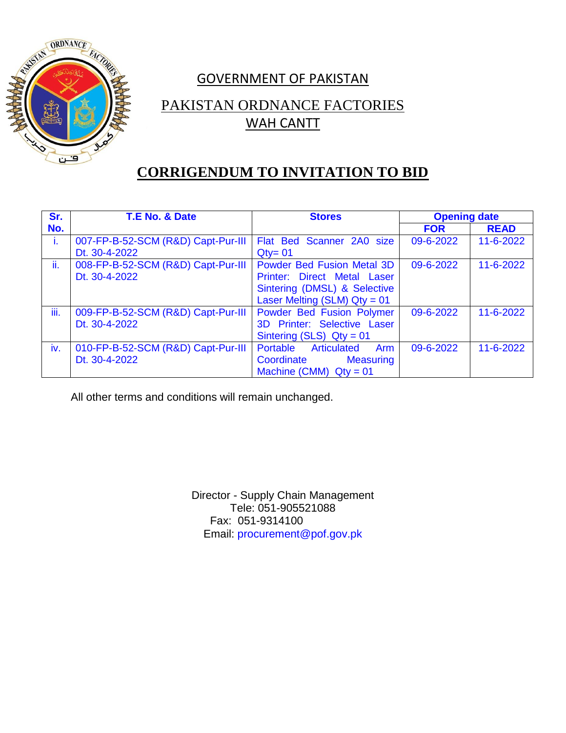

# GOVERNMENT OF PAKISTAN

## PAKISTAN ORDNANCE FACTORIES WAH CANTT

#### **CORRIGENDUM TO INVITATION TO BID**

| Sr.          | T.E No. & Date                     | <b>Stores</b>                                | <b>Opening date</b> |             |
|--------------|------------------------------------|----------------------------------------------|---------------------|-------------|
| No.          |                                    |                                              | <b>FOR</b>          | <b>READ</b> |
| $\mathbf{L}$ | 007-FP-B-52-SCM (R&D) Capt-Pur-III | Flat Bed Scanner 2A0 size                    | 09-6-2022           | 11-6-2022   |
|              | Dt. 30-4-2022                      | $Q$ ty= 01                                   |                     |             |
| ii.          | 008-FP-B-52-SCM (R&D) Capt-Pur-III | Powder Bed Fusion Metal 3D                   | 09-6-2022           | 11-6-2022   |
|              | Dt. 30-4-2022                      | Printer: Direct Metal Laser                  |                     |             |
|              |                                    | Sintering (DMSL) & Selective                 |                     |             |
|              |                                    | Laser Melting (SLM) $Qty = 01$               |                     |             |
| iii.         | 009-FP-B-52-SCM (R&D) Capt-Pur-III | Powder Bed Fusion Polymer                    | 09-6-2022           | 11-6-2022   |
|              | Dt. 30-4-2022                      | 3D Printer: Selective Laser                  |                     |             |
|              |                                    | Sintering (SLS) $Qty = 01$                   |                     |             |
| iv.          | 010-FP-B-52-SCM (R&D) Capt-Pur-III | <b>Articulated</b><br>Portable<br><b>Arm</b> | 09-6-2022           | 11-6-2022   |
|              | Dt. 30-4-2022                      | Coordinate<br><b>Measuring</b>               |                     |             |
|              |                                    | Machine (CMM) $Qty = 01$                     |                     |             |

All other terms and conditions will remain unchanged.

Director - Supply Chain Management Tele: 051-905521088 Fax: 051-9314100 Email: procurement@pof.gov.pk